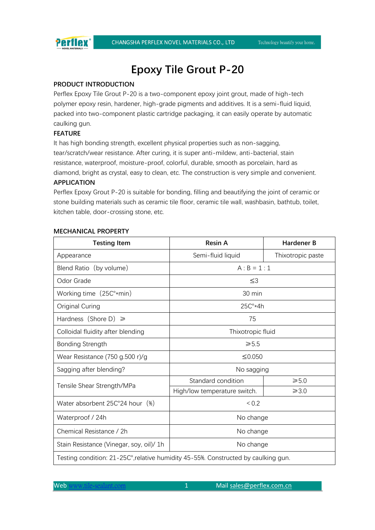

# **Epoxy Tile Grout P-20**

## **PRODUCT INTRODUCTION**

Perflex Epoxy Tile Grout P-20 is a two-component epoxy joint grout, made of high-tech polymer epoxy resin, hardener, high-grade pigments and additives. It is a semi-fluid liquid, packed into two-component plastic cartridge packaging, it can easily operate by automatic caulking gun.

# **FEATURE**

It has high bonding strength, excellent physical properties such as non-sagging, tear/scratch/wear resistance. After curing, it is super anti-mildew, anti-bacterial, stain resistance, waterproof, moisture-proof, colorful, durable, smooth as porcelain, hard as diamond, bright as crystal, easy to clean, etc. The construction is very simple and convenient.

## **APPLICATION**

Perflex Epoxy Grout P-20 is suitable for bonding, filling and beautifying the joint of ceramic or stone building materials such as ceramic tile floor, ceramic tile wall, washbasin, bathtub, toilet, kitchen table, door-crossing stone, etc.

#### **MECHANICAL PROPERTY**

| <b>Testing Item</b>                                                                | <b>Resin A</b>               | <b>Hardener B</b> |
|------------------------------------------------------------------------------------|------------------------------|-------------------|
| Appearance                                                                         | Semi-fluid liquid            | Thixotropic paste |
| Blend Ratio (by volume)                                                            | $A : B = 1 : 1$              |                   |
| Odor Grade                                                                         | ≤3                           |                   |
| Working time (25C°*min)                                                            | 30 min                       |                   |
| Original Curing                                                                    | $25C^{\circ}*4h$             |                   |
| Hardness (Shore D) $\geq$                                                          | 75                           |                   |
| Colloidal fluidity after blending                                                  | Thixotropic fluid            |                   |
| <b>Bonding Strength</b>                                                            | $\geq 5.5$                   |                   |
| Wear Resistance $(750$ g.500 r)/g                                                  | ≤0.050                       |                   |
| Sagging after blending?                                                            | No sagging                   |                   |
| Tensile Shear Strength/MPa                                                         | Standard condition           | $\geq 5.0$        |
|                                                                                    | High/low temperature switch. | $\geq 3.0$        |
| Water absorbent 25C°24 hour (%)                                                    | ${}_{0.2}$                   |                   |
| Waterproof / 24h                                                                   | No change                    |                   |
| Chemical Resistance / 2h                                                           | No change                    |                   |
| Stain Resistance (Vinegar, soy, oil)/ 1h                                           | No change                    |                   |
| Testing condition: 21-25C°, relative humidity 45-55%. Constructed by caulking gun. |                              |                   |